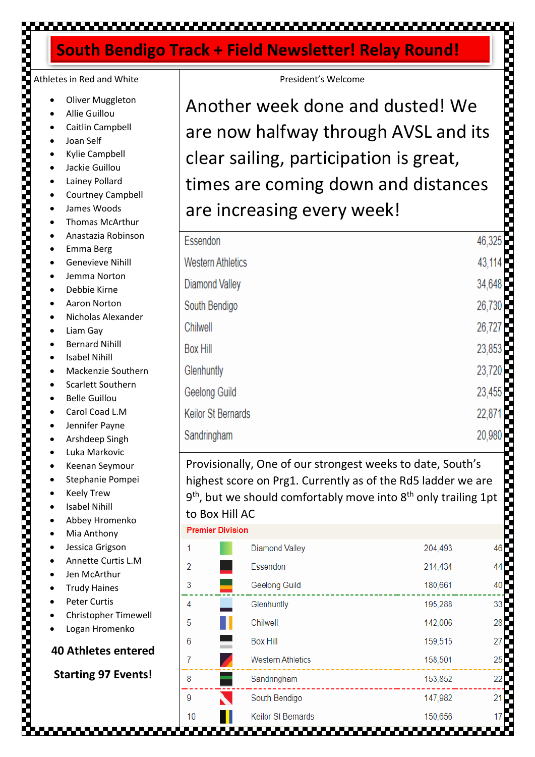# 

# **South Bendigo Track + Field Newsletter! Relay Round!**

# Athletes in Red and White

- Oliver Muggleton
- Allie Guillou
- Caitlin Campbell
- Joan Self
- Kylie Campbell
- Jackie Guillou
- Lainey Pollard
- Courtney Campbell
- James Woods
- Thomas McArthur
- Anastazia Robinson
- Emma Berg
- Genevieve Nihill
- Jemma Norton
- Debbie Kirne
- Aaron Norton
- Nicholas Alexander
- Liam Gav
- Bernard Nihill
- **Isabel Nihill**
- Mackenzie Southern
- Scarlett Southern
- Belle Guillou
- Carol Coad L.M
- Jennifer Payne
- Arshdeep Singh
- Luka Markovic
- Keenan Seymour
- Stephanie Pompei
- **Keely Trew**
- **Isabel Nihill**
- Abbey Hromenko
- Mia Anthony
- Jessica Grigson
- Annette Curtis L.M
- Jen McArthur
- Trudy Haines
- Peter Curtis
- Christopher Timewell
- Logan Hromenko

### **40 Athletes entered**

**Starting 97 Events!**

| rack + Field Newsletter! Relay Round!                                                                                                                                                                                                          |        |  |  |  |
|------------------------------------------------------------------------------------------------------------------------------------------------------------------------------------------------------------------------------------------------|--------|--|--|--|
| President's Welcome                                                                                                                                                                                                                            |        |  |  |  |
| Another week done and dusted! We                                                                                                                                                                                                               |        |  |  |  |
| are now halfway through AVSL and its                                                                                                                                                                                                           |        |  |  |  |
| clear sailing, participation is great,<br>times are coming down and distances                                                                                                                                                                  |        |  |  |  |
|                                                                                                                                                                                                                                                |        |  |  |  |
| Essendon                                                                                                                                                                                                                                       | 46,325 |  |  |  |
| <b>Western Athletics</b>                                                                                                                                                                                                                       | 43,114 |  |  |  |
| <b>Diamond Valley</b>                                                                                                                                                                                                                          | 34,648 |  |  |  |
| South Bendigo                                                                                                                                                                                                                                  | 26,730 |  |  |  |
| Chilwell                                                                                                                                                                                                                                       | 26,727 |  |  |  |
| <b>Box Hill</b>                                                                                                                                                                                                                                | 23,853 |  |  |  |
| Glenhuntly                                                                                                                                                                                                                                     | 23,720 |  |  |  |
| Geelong Guild                                                                                                                                                                                                                                  | 23,455 |  |  |  |
| <b>Keilor St Bernards</b>                                                                                                                                                                                                                      | 22,871 |  |  |  |
| Sandringham                                                                                                                                                                                                                                    | 20,980 |  |  |  |
| Provisionally, One of our strongest weeks to date, South's<br>highest score on Prg1. Currently as of the Rd5 ladder we are<br>$9th$ , but we should comfortably move into $8th$ only trailing 1pt<br>to Box Hill AC<br><b>Premier Division</b> |        |  |  |  |

| Premier Division |  |
|------------------|--|
|------------------|--|

| 1  |   | <b>Diamond Valley</b>     | 204,493 | 46 |
|----|---|---------------------------|---------|----|
| 2  |   | Essendon                  | 214,434 | 44 |
| 3  | ۰ | <b>Geelong Guild</b>      | 180,661 | 40 |
| 4  |   | Glenhuntly                | 195,288 | 33 |
| 5  |   | Chilwell                  | 142,006 | 28 |
| 6  |   | <b>Box Hill</b>           | 159,515 | 27 |
| 7  |   | <b>Western Athletics</b>  | 158,501 | 25 |
| 8  |   | Sandringham               | 153,852 | 22 |
| 9  |   | South Bendigo             | 147,982 | 21 |
| 10 |   | <b>Keilor St Bernards</b> | 150,656 | 17 |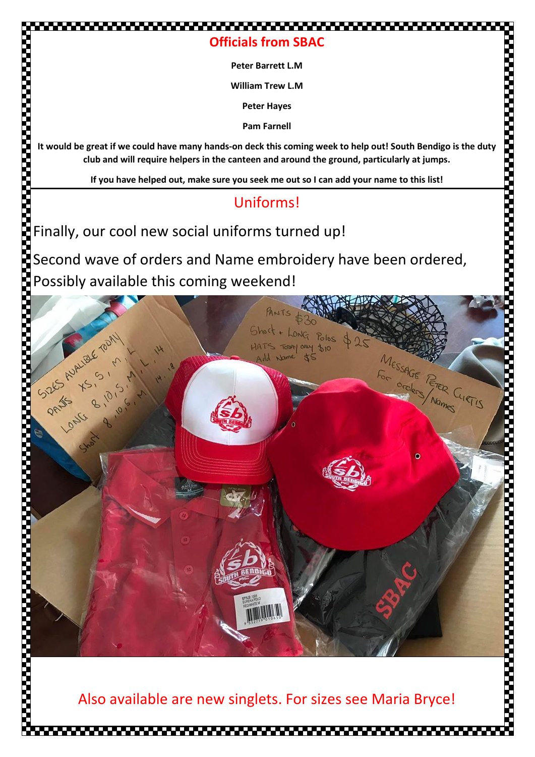## **Officials from SBAC**

**Peter Barrett L.M**

**William Trew L.M**

**Peter Hayes**

**Pam Farnell**

**It would be great if we could have many hands-on deck this coming week to help out! South Bendigo is the duty club and will require helpers in the canteen and around the ground, particularly at jumps.**

**If you have helped out, make sure you seek me out so I can add your name to this list!**

# Uniforms!

Finally, our cool new social uniforms turned up!

,,,,,,,,,,,,,,,,,,,,,,,,,,,,,

Second wave of orders and Name embroidery have been ordered, Possibly available this coming weekend!



Also available are new singlets. For sizes see Maria Bryce!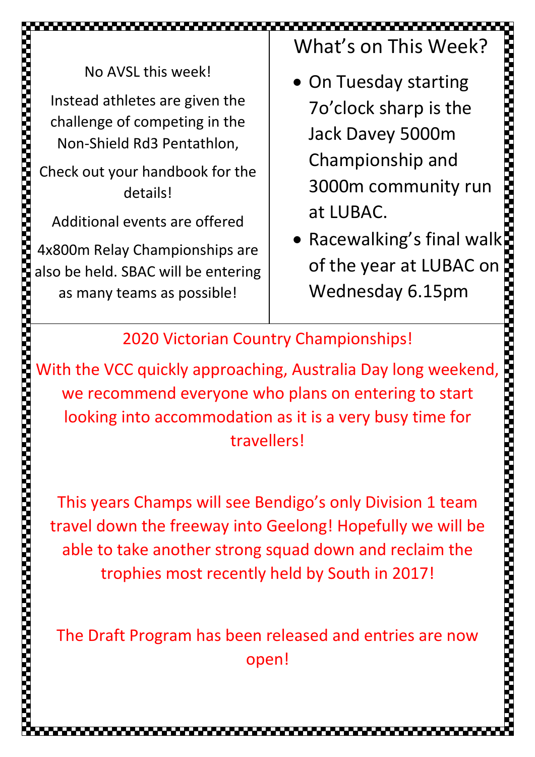No AVSL this week!

Instead athletes are given the challenge of competing in the Non-Shield Rd3 Pentathlon,

Check out your handbook for the details!

Additional events are offered

4x800m Relay Championships are also be held. SBAC will be entering as many teams as possible!

What's on This Week?

- On Tuesday starting 7o'clock sharp is the Jack Davey 5000m Championship and 3000m community run at LUBAC.
- Racewalking's final walk of the year at LUBAC on Wednesday 6.15pm

**Property** 

2020 Victorian Country Championships!

,,,,,,,,,,,,,,,,

With the VCC quickly approaching, Australia Day long weekend, we recommend everyone who plans on entering to start looking into accommodation as it is a very busy time for 100m- James Woods, 11.84, 417pts 1500m- Logan Tickell, 4.39.74, 4.39.74, 4.39.74, 4.39.74, 4.39.74, 4.39.74, 4 travellers!

This years Champs will see Bendigo's only Division 1 team travel down the freeway into Geelong! Hopefully we will be able to take another strong squad down and reclaim the trophies most recently held by South in 2017!

The Draft Program has been released and entries are now open!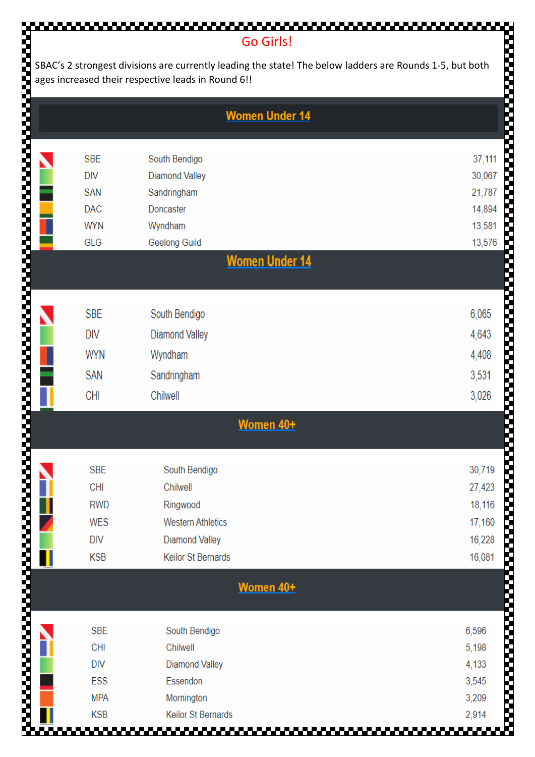### Go Girls!

,,,,,,,,,,,,,,,,,,,,,

| SBAC's 2 strongest divisions are currently leading the state! The below ladders are Rounds 1-5, but both<br>ages increased their respective leads in Round 6!! |            |                           |        |  |
|----------------------------------------------------------------------------------------------------------------------------------------------------------------|------------|---------------------------|--------|--|
|                                                                                                                                                                |            | <b>Women Under 14</b>     |        |  |
|                                                                                                                                                                |            |                           |        |  |
|                                                                                                                                                                | <b>SBE</b> | South Bendigo             | 37,111 |  |
|                                                                                                                                                                | <b>DIV</b> | <b>Diamond Valley</b>     | 30,067 |  |
|                                                                                                                                                                | <b>SAN</b> | Sandringham               | 21,787 |  |
|                                                                                                                                                                | <b>DAC</b> | Doncaster                 | 14,894 |  |
|                                                                                                                                                                | <b>WYN</b> | Wyndham                   | 13,581 |  |
|                                                                                                                                                                | GLG        | <b>Geelong Guild</b>      | 13,576 |  |
|                                                                                                                                                                |            | <b>Women Under 14</b>     |        |  |
|                                                                                                                                                                |            |                           |        |  |
|                                                                                                                                                                | <b>SBE</b> | South Bendigo             | 6,065  |  |
|                                                                                                                                                                | <b>DIV</b> | <b>Diamond Valley</b>     | 4,643  |  |
|                                                                                                                                                                |            |                           |        |  |
|                                                                                                                                                                | <b>WYN</b> | Wyndham                   | 4,408  |  |
|                                                                                                                                                                | <b>SAN</b> | Sandringham               | 3,531  |  |
|                                                                                                                                                                | <b>CHI</b> | Chilwell                  | 3,026  |  |
|                                                                                                                                                                |            | <b>Women 40+</b>          |        |  |
|                                                                                                                                                                |            |                           |        |  |
|                                                                                                                                                                | <b>SBE</b> | South Bendigo             | 30,719 |  |
|                                                                                                                                                                | <b>CHI</b> | Chilwell                  | 27,423 |  |
|                                                                                                                                                                | <b>RWD</b> | Ringwood                  | 18,116 |  |
|                                                                                                                                                                | <b>WES</b> | <b>Western Athletics</b>  | 17,160 |  |
|                                                                                                                                                                | <b>DIV</b> | <b>Diamond Valley</b>     | 16,228 |  |
|                                                                                                                                                                | <b>KSB</b> | Keilor St Bernards        | 16,081 |  |
|                                                                                                                                                                |            |                           |        |  |
|                                                                                                                                                                |            | Women 40+                 |        |  |
|                                                                                                                                                                |            |                           |        |  |
|                                                                                                                                                                | <b>SBE</b> | South Bendigo             | 6,596  |  |
|                                                                                                                                                                | <b>CHI</b> | Chilwell                  | 5,198  |  |
|                                                                                                                                                                | <b>DIV</b> | <b>Diamond Valley</b>     | 4,133  |  |
|                                                                                                                                                                | ESS        | Essendon                  | 3,545  |  |
|                                                                                                                                                                | <b>MPA</b> | Mornington                | 3,209  |  |
|                                                                                                                                                                | <b>KSB</b> | <b>Keilor St Bernards</b> | 2,914  |  |